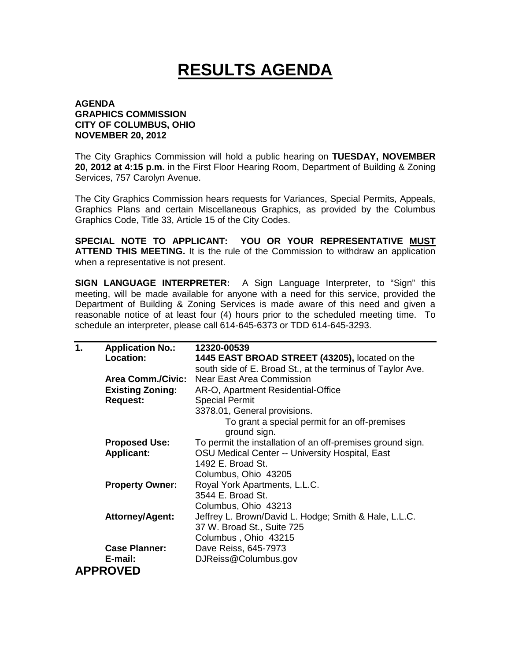## **RESULTS AGENDA**

## **AGENDA GRAPHICS COMMISSION CITY OF COLUMBUS, OHIO NOVEMBER 20, 2012**

The City Graphics Commission will hold a public hearing on **TUESDAY, NOVEMBER 20, 2012 at 4:15 p.m.** in the First Floor Hearing Room, Department of Building & Zoning Services, 757 Carolyn Avenue.

The City Graphics Commission hears requests for Variances, Special Permits, Appeals, Graphics Plans and certain Miscellaneous Graphics, as provided by the Columbus Graphics Code, Title 33, Article 15 of the City Codes.

**SPECIAL NOTE TO APPLICANT: YOU OR YOUR REPRESENTATIVE MUST ATTEND THIS MEETING.** It is the rule of the Commission to withdraw an application when a representative is not present.

**SIGN LANGUAGE INTERPRETER:** A Sign Language Interpreter, to "Sign" this meeting, will be made available for anyone with a need for this service, provided the Department of Building & Zoning Services is made aware of this need and given a reasonable notice of at least four (4) hours prior to the scheduled meeting time. To schedule an interpreter, please call 614-645-6373 or TDD 614-645-3293.

| $\mathbf 1$ . | <b>Application No.:</b>  | 12320-00539                                                |
|---------------|--------------------------|------------------------------------------------------------|
|               | Location:                | 1445 EAST BROAD STREET (43205), located on the             |
|               |                          | south side of E. Broad St., at the terminus of Taylor Ave. |
|               | <b>Area Comm./Civic:</b> | <b>Near East Area Commission</b>                           |
|               | <b>Existing Zoning:</b>  | AR-O, Apartment Residential-Office                         |
|               | <b>Request:</b>          | <b>Special Permit</b>                                      |
|               |                          | 3378.01, General provisions.                               |
|               |                          | To grant a special permit for an off-premises              |
|               |                          | ground sign.                                               |
|               | <b>Proposed Use:</b>     | To permit the installation of an off-premises ground sign. |
|               | <b>Applicant:</b>        | OSU Medical Center -- University Hospital, East            |
|               |                          | 1492 E. Broad St.                                          |
|               |                          | Columbus, Ohio 43205                                       |
|               | <b>Property Owner:</b>   | Royal York Apartments, L.L.C.                              |
|               |                          | 3544 E. Broad St.                                          |
|               |                          | Columbus, Ohio 43213                                       |
|               | <b>Attorney/Agent:</b>   | Jeffrey L. Brown/David L. Hodge; Smith & Hale, L.L.C.      |
|               |                          | 37 W. Broad St., Suite 725                                 |
|               |                          | Columbus, Ohio 43215                                       |
|               | <b>Case Planner:</b>     | Dave Reiss, 645-7973                                       |
|               | E-mail:                  | DJReiss@Columbus.gov                                       |
|               | <b>APPROVED</b>          |                                                            |